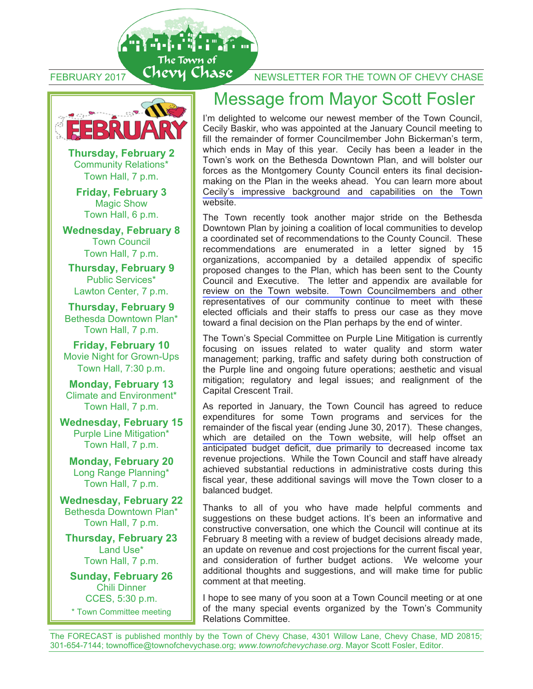FEBRUARY 2017 CHEVY CHASE NEWSLETTER FOR THE TOWN OF CHEVY CHASE

The Town of

**THE THE** 



**Thursday, February 2**  Community Relations\* Town Hall, 7 p.m.

**Friday, February 3**  Magic Show Town Hall, 6 p.m.

**Wednesday, February 8**  Town Council Town Hall, 7 p.m.

**Thursday, February 9** Public Services\* Lawton Center, 7 p.m.

**Thursday, February 9** Bethesda Downtown Plan\* Town Hall, 7 p.m.

**Friday, February 10**  Movie Night for Grown-Ups Town Hall, 7:30 p.m.

**Monday, February 13**  Climate and Environment\* Town Hall, 7 p.m.

**Wednesday, February 15**  Purple Line Mitigation\* Town Hall, 7 p.m.

**Monday, February 20**  Long Range Planning\* Town Hall, 7 p.m.

**Wednesday, February 22**  Bethesda Downtown Plan\* Town Hall, 7 p.m.

**Thursday, February 23**  Land Use\* Town Hall, 7 p.m.

**Sunday, February 26**  Chili Dinner CCES, 5:30 p.m.

\* Town Committee meeting

## Message from Mayor Scott Fosler

I'm delighted to welcome our newest member of the Town Council, Cecily Baskir, who was appointed at the January Council meeting to fill the remainder of former Councilmember John Bickerman's term, which ends in May of this year. Cecily has been a leader in the Town's work on the Bethesda Downtown Plan, and will bolster our forces as the Montgomery County Council enters its final decision[making on the Plan in the weeks ahead. You can learn more about](http://www.townofchevychase.org/CivicAlerts.aspx?AID=186) Cecily's impressive background and capabilities on the Town website.

The Town recently took another major stride on the Bethesda Downtown Plan by joining a coalition of local communities to develop a coordinated set of recommendations to the County Council. These recommendations are enumerated in a letter signed by 15 organizations, accompanied by a detailed appendix of specific proposed changes to the Plan, which has been sent to the County [Council and Executive. The letter and appendix are available for](http://www.townofchevychase.org/DocumentCenter/View/1886) review on the Town website. Town Councilmembers and other representatives of our community continue to meet with these elected officials and their staffs to press our case as they move toward a final decision on the Plan perhaps by the end of winter.

The Town's Special Committee on Purple Line Mitigation is currently focusing on issues related to water quality and storm water management; parking, traffic and safety during both construction of the Purple line and ongoing future operations; aesthetic and visual mitigation; regulatory and legal issues; and realignment of the Capital Crescent Trail.

As reported in January, the Town Council has agreed to reduce expenditures for some Town programs and services for the remainder of the fiscal year (ending June 30, 2017). These changes, [which are detailed on the Town website,](http://www.townofchevychase.org/CivicAlerts.aspx?AID=187) will help offset an anticipated budget deficit, due primarily to decreased income tax revenue projections. While the Town Council and staff have already achieved substantial reductions in administrative costs during this fiscal year, these additional savings will move the Town closer to a balanced budget.

Thanks to all of you who have made helpful comments and suggestions on these budget actions. It's been an informative and constructive conversation, one which the Council will continue at its February 8 meeting with a review of budget decisions already made, an update on revenue and cost projections for the current fiscal year, and consideration of further budget actions. We welcome your additional thoughts and suggestions, and will make time for public comment at that meeting.

I hope to see many of you soon at a Town Council meeting or at one of the many special events organized by the Town's Community Relations Committee.

The FORECAST is published monthly by the Town of Chevy Chase, 4301 Willow Lane, Chevy Chase, MD 20815; 301-654-7144; townoffice@townofchevychase.org; *www.townofchevychase.org*. Mayor Scott Fosler, Editor.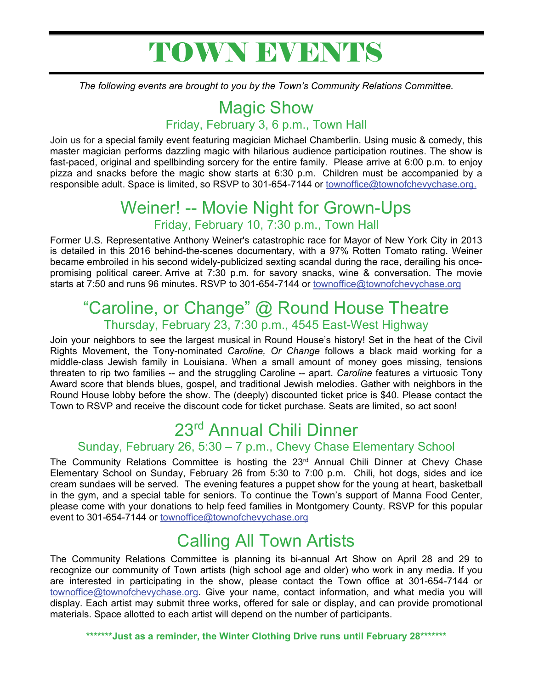## TOWN EVENTS

*The following events are brought to you by the Town's Community Relations Committee.*

## Magic Show

### Friday, February 3, 6 p.m., Town Hall

Join us for a special family event featuring magician Michael Chamberlin. Using music & comedy, this master magician performs dazzling magic with hilarious audience participation routines. The show is fast-paced, original and spellbinding sorcery for the entire family.Please arrive at 6:00 p.m. to enjoy pizza and snacks before the magic show starts at 6:30 p.m. Children must be accompanied by a responsible adult. Space is limited, so RSVP to 301-654-7144 or townoffice@townofchevychase.org.

### Weiner! -- Movie Night for Grown-Ups Friday, February 10, 7:30 p.m., Town Hall

Former U.S. Representative Anthony Weiner's catastrophic race for Mayor of New York City in 2013 is detailed in this 2016 behind-the-scenes documentary, with a 97% Rotten Tomato rating. Weiner became embroiled in his second widely-publicized sexting scandal during the race, derailing his oncepromising political career. Arrive at 7:30 p.m. for savory snacks, wine & conversation. The movie starts at 7:50 and runs 96 minutes. RSVP to 301-654-7144 or townoffice@townofchevychase.org

## "Caroline, or Change" @ Round House Theatre Thursday, February 23, 7:30 p.m., 4545 East-West Highway

Join your neighbors to see the largest musical in Round House's history! Set in the heat of the Civil Rights Movement, the Tony-nominated *Caroline, Or Change* follows a black maid working for a middle-class Jewish family in Louisiana. When a small amount of money goes missing, tensions threaten to rip two families -- and the struggling Caroline -- apart. *Caroline* features a virtuosic Tony Award score that blends blues, gospel, and traditional Jewish melodies. Gather with neighbors in the Round House lobby before the show. The (deeply) discounted ticket price is \$40. Please contact the Town to RSVP and receive the discount code for ticket purchase. Seats are limited, so act soon!

## 23rd Annual Chili Dinner

### Sunday, February 26, 5:30 – 7 p.m., Chevy Chase Elementary School

The Community Relations Committee is hosting the  $23<sup>rd</sup>$  Annual Chili Dinner at Chevy Chase Elementary School on Sunday, February 26 from 5:30 to 7:00 p.m. Chili, hot dogs, sides and ice cream sundaes will be served. The evening features a puppet show for the young at heart, basketball in the gym, and a special table for seniors. To continue the Town's support of Manna Food Center, please come with your donations to help feed families in Montgomery County. RSVP for this popular event to 301-654-7144 or townoffice@townofchevychase.org

## Calling All Town Artists

The Community Relations Committee is planning its bi-annual Art Show on April 28 and 29 to recognize our community of Town artists (high school age and older) who work in any media. If you are interested in participating in the show, please contact the Town office at 301-654-7144 or townoffice@townofchevychase.org. Give your name, contact information, and what media you will display. Each artist may submit three works, offered for sale or display, and can provide promotional materials. Space allotted to each artist will depend on the number of participants.

**\*\*\*\*\*\*\*Just as a reminder, the Winter Clothing Drive runs until February 28\*\*\*\*\*\*\***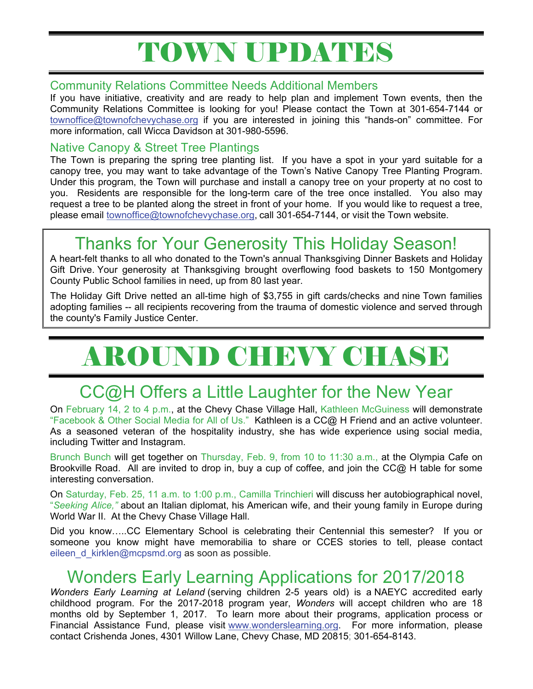## TOWN UPDATES

### Community Relations Committee Needs Additional Members

If you have initiative, creativity and are ready to help plan and implement Town events, then the Community Relations Committee is looking for you! Please contact the Town at 301-654-7144 or townoffice@townofchevychase.org if you are interested in joining this "hands-on" committee. For more information, call Wicca Davidson at 301-980-5596.

### Native Canopy & Street Tree Plantings

The Town is preparing the spring tree planting list. If you have a spot in your yard suitable for a canopy tree, you may want to take advantage of the Town's Native Canopy Tree Planting Program. Under this program, the Town will purchase and install a canopy tree on your property at no cost to you. Residents are responsible for the long-term care of the tree once installed. You also may request a tree to be planted along the street in front of your home. If you would like to request a tree, please email townoffice@townofchevychase.org, call 301-654-7144, or visit the Town website.

## Thanks for Your Generosity This Holiday Season!

A heart-felt thanks to all who donated to the Town's annual Thanksgiving Dinner Baskets and Holiday Gift Drive. Your generosity at Thanksgiving brought overflowing food baskets to 150 Montgomery County Public School families in need, up from 80 last year.

The Holiday Gift Drive netted an all-time high of \$3,755 in gift cards/checks and nine Town families adopting families -- all recipients recovering from the trauma of domestic violence and served through the county's Family Justice Center.

# AROUND CHEVY CHASE

## CC@H Offers a Little Laughter for the New Year

On February 14, 2 to 4 p.m., at the Chevy Chase Village Hall, Kathleen McGuiness will demonstrate "Facebook & Other Social Media for All of Us." Kathleen is a CC@ H Friend and an active volunteer. As a seasoned veteran of the hospitality industry, she has wide experience using social media, including Twitter and Instagram.

Brunch Bunch will get together on Thursday, Feb. 9, from 10 to 11:30 a.m., at the Olympia Cafe on Brookville Road. All are invited to drop in, buy a cup of coffee, and join the CC@ H table for some interesting conversation.

On Saturday, Feb. 25, 11 a.m. to 1:00 p.m., Camilla Trinchieri will discuss her autobiographical novel, "*Seeking Alice,"* about an Italian diplomat, his American wife, and their young family in Europe during World War II. At the Chevy Chase Village Hall.

Did you know…..CC Elementary School is celebrating their Centennial this semester? If you or someone you know might have memorabilia to share or CCES stories to tell, please contact eileen d kirklen@mcpsmd.org as soon as possible.

## Wonders Early Learning Applications for 2017/2018

*Wonders Early Learning at Leland* (serving children 2-5 years old) is a NAEYC accredited early childhood program. For the 2017-2018 program year, *Wonders* will accept children who are 18 months old by September 1, 2017. To learn more about their programs, application process or Financial Assistance Fund, please visit www.wonderslearning.org. For more information, please contact Crishenda Jones, 4301 Willow Lane, Chevy Chase, MD 20815; 301-654-8143.